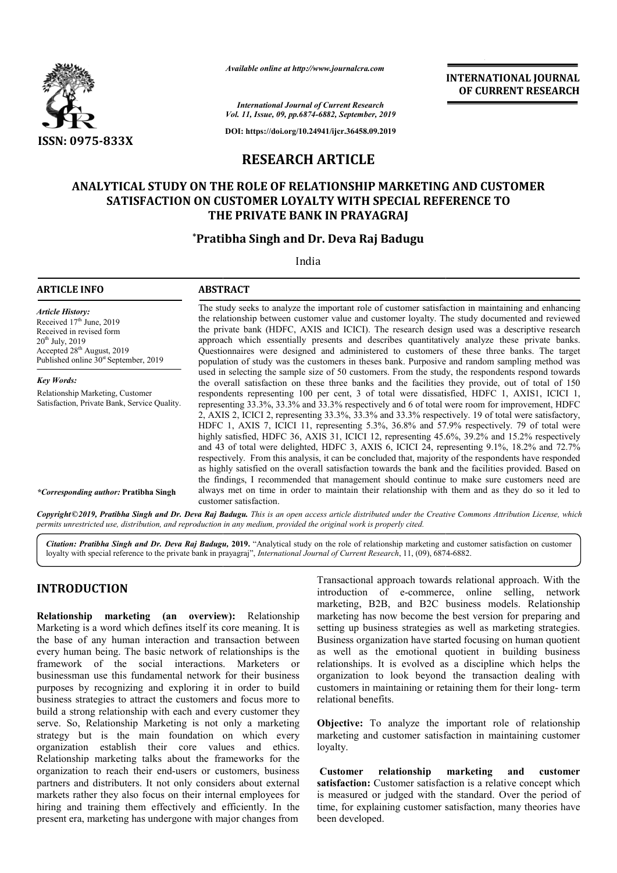

*Available online at http://www.journalcra.com*

**INTERNATIONAL JOURNAL OF CURRENT RESEARCH**

*International Journal of Current Research Vol. 11, Issue, 09, pp.6874-6882, September, 2019*

**DOI: https://doi.org/10.24941/ijcr.36458.09.2019**

## **RESEARCH ARTICLE**

## **ANALYTICAL STUDY ON THE ROLE OF RELATIONSHIP MARKETING AND CUSTOMER OF RELATIONSHIP MARKETING AND CUSTOMER SPECIAL REFERENCE TO SATISFACTION ON CUSTOMER LOYALTY WITH SPECIAL REFERENCE T THE PRIVATE BANK IN PRAYAGRAJ**

## **\*Pratibha Singh and Dr. Deva Raj Badugu Pratibha**

India

# **ARTICLE INFO ABSTRACT** The study seeks to analyze the important role of customer satisfaction in maintaining and enhancing the relationship between customer value and customer loyalty. The study documented and reviewed the private bank (HDFC, AXIS and ICICI). The research design used was a descriptive research approach which essentially presents and describes quantitatively analyze these private banks. Questionnaires were designed and administered to customers of these three banks. The target population of study was the customers in theses bank. Purposive and random sampling method was used in selecting the sample size of 50 customers. From the study, the respondents respond towards the overall satisfaction on these three banks and the facilities they provide, out of total of 150 respondents representing 100 per cent, 3 of total were dissatisfied, HDFC 1, AXIS1, ICICI 1, representing 33.3%, 33.3% and 33.3% respectively and 6 of total were room for improvement, HDFC 2, AXIS 2, ICICI 2, representing 33.3%, 33.3% and 33.3% respectivel HDFC 1, AXIS 7, ICICI 11, representing 5.3%, 36.8% and 57.9% respectively. 79 of total were highly satisfied, HDFC 36, AXIS 31, ICICI 12, representing 45.6%, 39.2% and 15.2% respectively and 43 of total were delighted, HDFC 3, AXIS 6, ICICI 24, representing 9.1%, 18.2% and 72.7% *Article History:* Received 17<sup>th</sup> June, 2019 Received in revised form 20th July, 2019 Accepted 28<sup>th</sup> August, 2019 Published online  $30<sup>st</sup>$  September, 2019 *Key Words:* Relationship Marketing, Customer Satisfaction, Private Bank, Service Quality. The study seeks to analyze the important role of customer satisfaction in maintaining and enhancing the relationship between customer value and customer loyalty. The study documented and reviewed the private bank (HDFC, AX approach which essentially presents and describes quantitatively analyze these private banks. Questionnaires were designed and administered to customers of these three banks. The target population of study was the customer HDFC 1, AXIS 7, ICICI 11, representing 5.3%, 36.8% and 57.9% respectively. 79 of total were highly satisfied, HDFC 36, AXIS 31, ICICI 12, representing 45.6%, 39.2% and 15.2% respectively and 43 of total were delighted, HDF INTERNATIONAL JOURNAL<br> *nn* Research<br> *of CURRENT RESEARCH<br> COVERT CLUBE<br> COVERT COVERT COVERT (CAUSE COVERT)<br> COVERT:<br> COVERT COVERT COVERT COVERT<br> COVERT:<br> COVERT:<br> COVERT MARKETING AND CUSTOMER<br> EVALUATE*

*\*Corresponding author:* **Pratibha Singh**

Copyright©2019, Pratibha Singh and Dr. Deva Raj Badugu. This is an open access article distributed under the Creative Commons Attribution License, which permits unrestricted use, distribution, and reproduction in any medium, provided the original work is properly cited.

customer satisfaction.

respectively. From this analysis, it can be concluded that, majority of the respondents have responded

the findings, I recommended that management should continue to make sure customers need are the findings, I recommended that management should continue to make sure customers need are always met on time in order to maintain their relationship with them and as they do so it led to

as highly satisfied on the overall satisfaction towards the bank and the facilities provided

Citation: Pratibha Singh and Dr. Deva Raj Badugu, 2019. "Analytical study on the role of relationship marketing and customer satisfaction on customer Cloyalty with special reference to the private bank in prayagraj", *Inte* loyalty with special reference to the private bank in prayagraj", *International Journal of Current Research*, 11, (09), 6874

## **INTRODUCTION**

**Relationship marketing (an overview):** Relationship Marketing is a word which defines itself its core meaning. It is the base of any human interaction and transaction between every human being. The basic network of relationships is the framework of the social interactions. Marketers or businessman use this fundamental network for their business purposes by recognizing and exploring it in order to build business strategies to attract the customers and focus more to build a strong relationship with each and every customer they serve. So, Relationship Marketing is not only a marketing strategy but is the main foundation on which every organization establish their core value Relationship marketing talks about the frameworks for the organization to reach their end-users or customers, business partners and distributers. It not only considers about external organization to reach their end-users or customers, business<br>partners and distributers. It not only considers about external<br>markets rather they also focus on their internal employees for hiring and training them effectively and efficiently. In the present era, marketing has undergone with major changes from es to attract the customers and focus more to<br>lationship with each and every customer they<br>tionship Marketing is not only a marketing<br>is the main foundation on which every<br>stablish their core values and ethics. Transactional approach towards relational approach. With the introduction of e-commerce, online selling, network marketing, B2B, and B2C business models. Relationship marketing has now become the best version for preparing and setting up business strategies as well as marketing strategies. Business organization have started focusing on human quotient as well as the emotional quotient in building business relationships. It is evolved as a discipline which helps the organization to look beyond the transaction dealing with customers in maintaining or retaining them for their long relational benefits. itional approach towards relational approach. With the etion of e-commerce, online selling, network ng, B2B, and B2C business models. Relationship ing has now become the best version for preparing and up business strategie relationships. It is evolved as a discipline which helps the organization to look beyond the transaction dealing with customers in maintaining or retaining them for their long- term

**Objective:** To analyze the important role of relationship marketing and customer satisfaction in maintaining customer loyalty.

**Customer** relationship marketing and customer **satisfaction:** Customer satisfaction is a relative concept which satisfaction: Customer satisfaction is a relative concept which<br>is measured or judged with the standard. Over the period of time, for explaining customer satisfaction, many theories have been developed.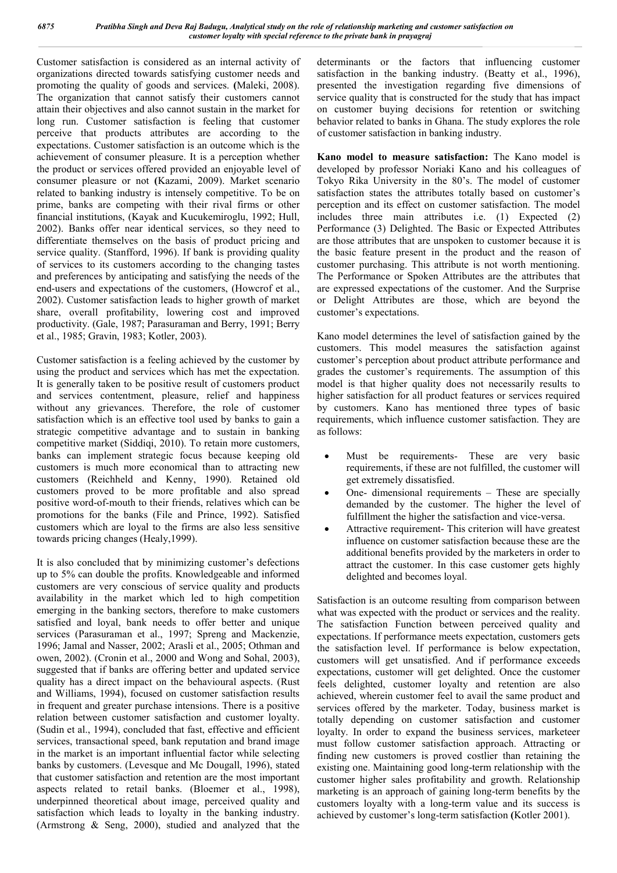Customer satisfaction is considered as an internal activity of organizations directed towards satisfying customer needs and promoting the quality of goods and services. **(**Maleki, 2008). The organization that cannot satisfy their customers cannot attain their objectives and also cannot sustain in the market for long run. Customer satisfaction is feeling that customer perceive that products attributes are according to the expectations. Customer satisfaction is an outcome which is the achievement of consumer pleasure. It is a perception whether the product or services offered provided an enjoyable level of consumer pleasure or not **(**Kazami, 2009). Market scenario related to banking industry is intensely competitive. To be on prime, banks are competing with their rival firms or other financial institutions, (Kayak and Kucukemiroglu, 1992; Hull, 2002). Banks offer near identical services, so they need to differentiate themselves on the basis of product pricing and service quality. (Stanfford, 1996). If bank is providing quality of services to its customers according to the changing tastes and preferences by anticipating and satisfying the needs of the end-users and expectations of the customers, (Howcrof et al., 2002). Customer satisfaction leads to higher growth of market share, overall profitability, lowering cost and improved productivity. (Gale, 1987; Parasuraman and Berry, 1991; Berry et al., 1985; Gravin, 1983; Kotler, 2003).

Customer satisfaction is a feeling achieved by the customer by using the product and services which has met the expectation. It is generally taken to be positive result of customers product and services contentment, pleasure, relief and happiness without any grievances. Therefore, the role of customer satisfaction which is an effective tool used by banks to gain a strategic competitive advantage and to sustain in banking competitive market (Siddiqi, 2010). To retain more customers, banks can implement strategic focus because keeping old customers is much more economical than to attracting new customers (Reichheld and Kenny, 1990). Retained old customers proved to be more profitable and also spread positive word-of-mouth to their friends, relatives which can be promotions for the banks (File and Prince, 1992). Satisfied customers which are loyal to the firms are also less sensitive towards pricing changes (Healy,1999).

It is also concluded that by minimizing customer's defections up to 5% can double the profits. Knowledgeable and informed customers are very conscious of service quality and products availability in the market which led to high competition emerging in the banking sectors, therefore to make customers satisfied and loyal, bank needs to offer better and unique services (Parasuraman et al., 1997; Spreng and Mackenzie, 1996; Jamal and Nasser, 2002; Arasli et al., 2005; Othman and owen, 2002). (Cronin et al., 2000 and Wong and Sohal, 2003), suggested that if banks are offering better and updated service quality has a direct impact on the behavioural aspects. (Rust and Williams, 1994), focused on customer satisfaction results in frequent and greater purchase intensions. There is a positive relation between customer satisfaction and customer loyalty. (Sudin et al., 1994), concluded that fast, effective and efficient services, transactional speed, bank reputation and brand image in the market is an important influential factor while selecting banks by customers. (Levesque and Mc Dougall, 1996), stated that customer satisfaction and retention are the most important aspects related to retail banks. (Bloemer et al., 1998), underpinned theoretical about image, perceived quality and satisfaction which leads to loyalty in the banking industry. (Armstrong & Seng, 2000), studied and analyzed that the

determinants or the factors that influencing customer satisfaction in the banking industry. (Beatty et al., 1996), presented the investigation regarding five dimensions of service quality that is constructed for the study that has impact on customer buying decisions for retention or switching behavior related to banks in Ghana. The study explores the role of customer satisfaction in banking industry.

**Kano model to measure satisfaction:** The Kano model is developed by professor Noriaki Kano and his colleagues of Tokyo Rika University in the 80's. The model of customer satisfaction states the attributes totally based on customer's perception and its effect on customer satisfaction. The model includes three main attributes i.e. (1) Expected (2) Performance (3) Delighted. The Basic or Expected Attributes are those attributes that are unspoken to customer because it is the basic feature present in the product and the reason of customer purchasing. This attribute is not worth mentioning. The Performance or Spoken Attributes are the attributes that are expressed expectations of the customer. And the Surprise or Delight Attributes are those, which are beyond the customer's expectations.

Kano model determines the level of satisfaction gained by the customers. This model measures the satisfaction against customer's perception about product attribute performance and grades the customer's requirements. The assumption of this model is that higher quality does not necessarily results to higher satisfaction for all product features or services required by customers. Kano has mentioned three types of basic requirements, which influence customer satisfaction. They are as follows:

- Must be requirements- These are very basic requirements, if these are not fulfilled, the customer will get extremely dissatisfied.
- One- dimensional requirements These are specially demanded by the customer. The higher the level of fulfillment the higher the satisfaction and vice-versa.
- Attractive requirement- This criterion will have greatest influence on customer satisfaction because these are the additional benefits provided by the marketers in order to attract the customer. In this case customer gets highly delighted and becomes loyal.

Satisfaction is an outcome resulting from comparison between what was expected with the product or services and the reality. The satisfaction Function between perceived quality and expectations. If performance meets expectation, customers gets the satisfaction level. If performance is below expectation, customers will get unsatisfied. And if performance exceeds expectations, customer will get delighted. Once the customer feels delighted, customer loyalty and retention are also achieved, wherein customer feel to avail the same product and services offered by the marketer. Today, business market is totally depending on customer satisfaction and customer loyalty. In order to expand the business services, marketeer must follow customer satisfaction approach. Attracting or finding new customers is proved costlier than retaining the existing one. Maintaining good long-term relationship with the customer higher sales profitability and growth. Relationship marketing is an approach of gaining long-term benefits by the customers loyalty with a long-term value and its success is achieved by customer's long-term satisfaction **(**Kotler 2001).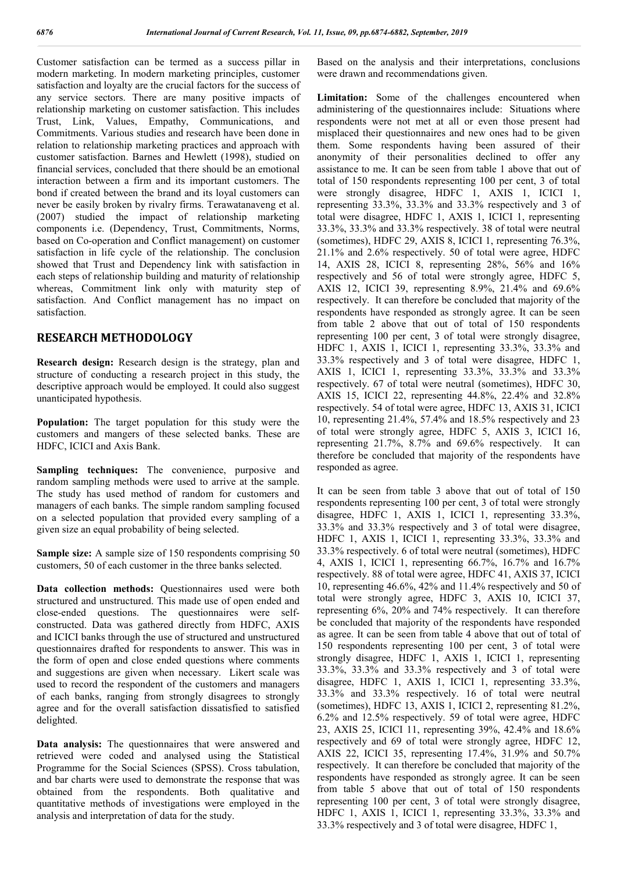Customer satisfaction can be termed as a success pillar in modern marketing. In modern marketing principles, customer satisfaction and loyalty are the crucial factors for the success of any service sectors. There are many positive impacts of relationship marketing on customer satisfaction. This includes Trust, Link, Values, Empathy, Communications, and Commitments. Various studies and research have been done in relation to relationship marketing practices and approach with customer satisfaction. Barnes and Hewlett (1998), studied on financial services, concluded that there should be an emotional interaction between a firm and its important customers. The bond if created between the brand and its loyal customers can never be easily broken by rivalry firms. Terawatanaveng et al. (2007) studied the impact of relationship marketing components i.e. (Dependency, Trust, Commitments, Norms, based on Co-operation and Conflict management) on customer satisfaction in life cycle of the relationship. The conclusion showed that Trust and Dependency link with satisfaction in each steps of relationship building and maturity of relationship whereas, Commitment link only with maturity step of satisfaction. And Conflict management has no impact on satisfaction.

#### **RESEARCH METHODOLOGY**

**Research design:** Research design is the strategy, plan and structure of conducting a research project in this study, the descriptive approach would be employed. It could also suggest unanticipated hypothesis.

**Population:** The target population for this study were the customers and mangers of these selected banks. These are HDFC, ICICI and Axis Bank.

**Sampling techniques:** The convenience, purposive and random sampling methods were used to arrive at the sample. The study has used method of random for customers and managers of each banks. The simple random sampling focused on a selected population that provided every sampling of a given size an equal probability of being selected.

**Sample size:** A sample size of 150 respondents comprising 50 customers, 50 of each customer in the three banks selected.

**Data collection methods:** Questionnaires used were both structured and unstructured. This made use of open ended and close-ended questions. The questionnaires were selfconstructed. Data was gathered directly from HDFC, AXIS and ICICI banks through the use of structured and unstructured questionnaires drafted for respondents to answer. This was in the form of open and close ended questions where comments and suggestions are given when necessary. Likert scale was used to record the respondent of the customers and managers of each banks, ranging from strongly disagrees to strongly agree and for the overall satisfaction dissatisfied to satisfied delighted.

**Data analysis:** The questionnaires that were answered and retrieved were coded and analysed using the Statistical Programme for the Social Sciences (SPSS). Cross tabulation, and bar charts were used to demonstrate the response that was obtained from the respondents. Both qualitative and quantitative methods of investigations were employed in the analysis and interpretation of data for the study.

Based on the analysis and their interpretations, conclusions were drawn and recommendations given.

Limitation: Some of the challenges encountered when administering of the questionnaires include: Situations where respondents were not met at all or even those present had misplaced their questionnaires and new ones had to be given them. Some respondents having been assured of their anonymity of their personalities declined to offer any assistance to me. It can be seen from table 1 above that out of total of 150 respondents representing 100 per cent, 3 of total were strongly disagree, HDFC 1, AXIS 1, ICICI 1, representing 33.3%, 33.3% and 33.3% respectively and 3 of total were disagree, HDFC 1, AXIS 1, ICICI 1, representing 33.3%, 33.3% and 33.3% respectively. 38 of total were neutral (sometimes), HDFC 29, AXIS 8, ICICI 1, representing 76.3%, 21.1% and 2.6% respectively. 50 of total were agree, HDFC 14, AXIS 28, ICICI 8, representing 28%, 56% and 16% respectively and 56 of total were strongly agree, HDFC 5, AXIS 12, ICICI 39, representing 8.9%, 21.4% and 69.6% respectively. It can therefore be concluded that majority of the respondents have responded as strongly agree. It can be seen from table 2 above that out of total of 150 respondents representing 100 per cent, 3 of total were strongly disagree, HDFC 1, AXIS 1, ICICI 1, representing 33.3%, 33.3% and 33.3% respectively and 3 of total were disagree, HDFC 1, AXIS 1, ICICI 1, representing 33.3%, 33.3% and 33.3% respectively. 67 of total were neutral (sometimes), HDFC 30, AXIS 15, ICICI 22, representing 44.8%, 22.4% and 32.8% respectively. 54 of total were agree, HDFC 13, AXIS 31, ICICI 10, representing 21.4%, 57.4% and 18.5% respectively and 23 of total were strongly agree, HDFC 5, AXIS 3, ICICI 16, representing 21.7%, 8.7% and 69.6% respectively. It can therefore be concluded that majority of the respondents have responded as agree.

It can be seen from table 3 above that out of total of 150 respondents representing 100 per cent, 3 of total were strongly disagree, HDFC 1, AXIS 1, ICICI 1, representing 33.3%, 33.3% and 33.3% respectively and 3 of total were disagree, HDFC 1, AXIS 1, ICICI 1, representing 33.3%, 33.3% and 33.3% respectively. 6 of total were neutral (sometimes), HDFC 4, AXIS 1, ICICI 1, representing 66.7%, 16.7% and 16.7% respectively. 88 of total were agree, HDFC 41, AXIS 37, ICICI 10, representing 46.6%, 42% and 11.4% respectively and 50 of total were strongly agree, HDFC 3, AXIS 10, ICICI 37, representing 6%, 20% and 74% respectively. It can therefore be concluded that majority of the respondents have responded as agree. It can be seen from table 4 above that out of total of 150 respondents representing 100 per cent, 3 of total were strongly disagree, HDFC 1, AXIS 1, ICICI 1, representing 33.3%, 33.3% and 33.3% respectively and 3 of total were disagree, HDFC 1, AXIS 1, ICICI 1, representing 33.3%, 33.3% and 33.3% respectively. 16 of total were neutral (sometimes), HDFC 13, AXIS 1, ICICI 2, representing 81.2%, 6.2% and 12.5% respectively. 59 of total were agree, HDFC 23, AXIS 25, ICICI 11, representing 39%, 42.4% and 18.6% respectively and 69 of total were strongly agree, HDFC 12, AXIS 22, ICICI 35, representing 17.4%, 31.9% and 50.7% respectively. It can therefore be concluded that majority of the respondents have responded as strongly agree. It can be seen from table 5 above that out of total of 150 respondents representing 100 per cent, 3 of total were strongly disagree, HDFC 1, AXIS 1, ICICI 1, representing 33.3%, 33.3% and 33.3% respectively and 3 of total were disagree, HDFC 1,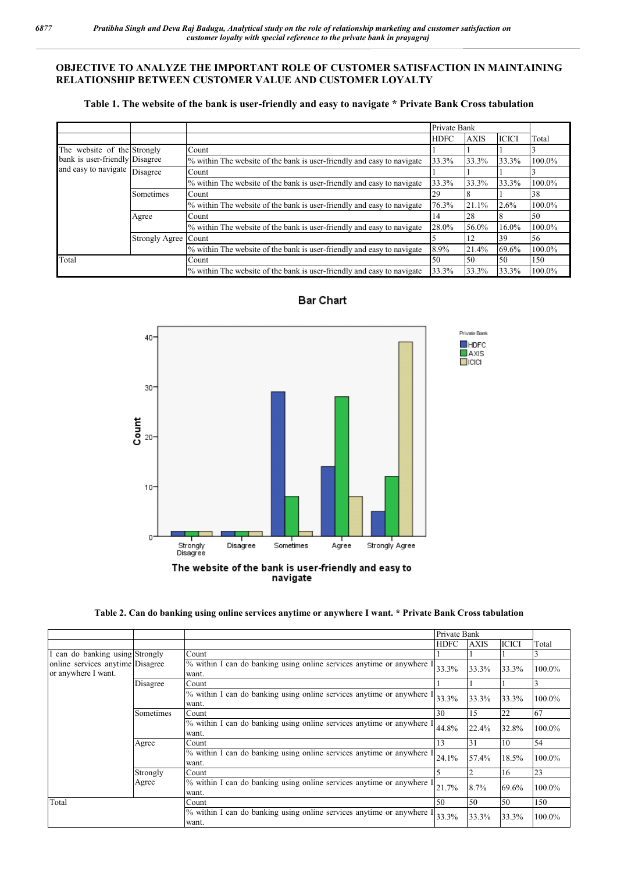#### **OBJECTIVE TO ANALYZE THE IMPORTANT ROLE OF CUSTOMER SATISFACTION IN MAINTAINING RELATIONSHIP BETWEEN CUSTOMER VALUE AND CUSTOMER LOYALTY**

#### **Table 1. The website of the bank is user-friendly and easy to navigate \* Private Bank Cross tabulation**

|                                                |                       |                                                                        | Private Bank |             |              |        |
|------------------------------------------------|-----------------------|------------------------------------------------------------------------|--------------|-------------|--------------|--------|
|                                                |                       |                                                                        | <b>HDFC</b>  | <b>AXIS</b> | <b>ICICI</b> | Total  |
| The website of the Strongly                    |                       | Count                                                                  |              |             |              |        |
| bank is user-friendly Disagree                 |                       | % within The website of the bank is user-friendly and easy to navigate | 33.3%        | 33.3%       | 33.3%        | 100.0% |
| and easy to navigate $\boxed{\text{Disagree}}$ |                       | Count                                                                  |              |             |              |        |
|                                                |                       | % within The website of the bank is user-friendly and easy to navigate | 33.3%        | 33.3%       | 33.3%        | 100.0% |
|                                                | <b>Sometimes</b>      | Count                                                                  | 29           |             |              | 38     |
|                                                |                       | % within The website of the bank is user-friendly and easy to navigate | 76.3%        | 21.1%       | 2.6%         | 100.0% |
|                                                | Agree                 | Count                                                                  | 14           | 28          |              | 50     |
|                                                |                       | % within The website of the bank is user-friendly and easy to navigate | 28.0%        | 56.0%       | $16.0\%$     | 100.0% |
|                                                | <b>Strongly Agree</b> | Count                                                                  |              | 12          | 39           | 56     |
|                                                |                       | % within The website of the bank is user-friendly and easy to navigate | 8.9%         | 21.4%       | 69.6%        | 100.0% |
| Total                                          |                       | Count                                                                  | 50           | 50          | 50           | 150    |
|                                                |                       | % within The website of the bank is user-friendly and easy to navigate | 33.3%        | 33.3%       | 33.3%        | 100.0% |



#### **Bar Chart**

**Table 2. Can do banking using online services anytime or anywhere I want. \* Private Bank Cross tabulation**

|                                                         |                  |                                                                                | Private Bank |             |              |        |
|---------------------------------------------------------|------------------|--------------------------------------------------------------------------------|--------------|-------------|--------------|--------|
|                                                         |                  |                                                                                | <b>HDFC</b>  | <b>AXIS</b> | <b>ICICI</b> | Total  |
| can do banking using Strongly                           |                  | Count                                                                          |              |             |              |        |
| online services anytime Disagree<br>or anywhere I want. |                  | % within I can do banking using online services anytime or anywhere I<br>want. | 33.3%        | 33.3%       | 33.3%        | 100.0% |
|                                                         | Disagree         | Count                                                                          |              |             |              |        |
|                                                         |                  | % within I can do banking using online services anytime or anywhere I<br>want. | 33.3%        | 33.3%       | 33.3%        | 100.0% |
|                                                         | <b>Sometimes</b> | Count                                                                          | 30           | 15          | 22           | 67     |
|                                                         |                  | % within I can do banking using online services anytime or anywhere I<br>want. | 44.8%        | 22.4%       | 32.8%        | 100.0% |
|                                                         | Agree            | Count                                                                          | 13           | 31          | 10           | 54     |
|                                                         |                  | % within I can do banking using online services anytime or anywhere I<br>want. | 24.1%        | 57.4%       | 18.5%        | 100.0% |
|                                                         | Strongly         | Count                                                                          |              |             | 16           | 23     |
|                                                         | Agree            | % within I can do banking using online services anytime or anywhere I<br>want. | 21.7%        | 8.7%        | 69.6%        | 100.0% |
| Total                                                   |                  | Count                                                                          | 50           | 50          | 50           | 150    |
|                                                         |                  | % within I can do banking using online services anytime or anywhere I<br>want. | 33.3%        | 33.3%       | 33.3%        | 100.0% |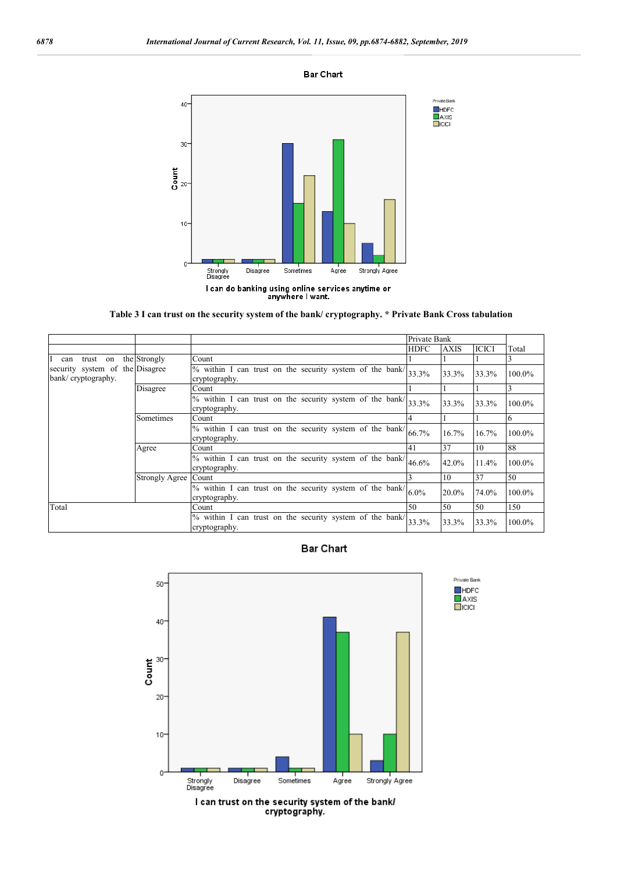

Private Bank

HDFC<br>AXIS<br>CICICI

Private Bank

 $\blacksquare$ HDFC  $R$ 



I can do banking using online services anytime or<br>anywhere I want.



|                    |                |                                                          | Private Bank |             |              |        |
|--------------------|----------------|----------------------------------------------------------|--------------|-------------|--------------|--------|
|                    |                |                                                          | <b>HDFC</b>  | <b>AXIS</b> | <b>ICICI</b> | Total  |
| trust<br>on<br>can | the Strongly   | Count                                                    |              |             |              |        |
| security system of | the Disagree   | % within I can trust on the security system of the bank/ | 33.3%        | 33.3%       | 33.3%        | 100.0% |
| bank/cryptography. |                | cryptography.                                            |              |             |              |        |
|                    | Disagree       | Count                                                    |              |             |              | 3      |
|                    |                | % within I can trust on the security system of the bank/ | 33.3%        | 33.3%       | 33.3%        | 100.0% |
|                    |                | cryptography.                                            |              |             |              |        |
|                    | Sometimes      | Count                                                    | 4            |             |              | 6      |
|                    |                | % within I can trust on the security system of the bank/ | 66.7%        | 16.7%       | 16.7%        | 100.0% |
|                    |                | cryptography.                                            |              |             |              |        |
|                    | Agree          | Count                                                    | 41           | 37          | 10           | 88     |
|                    | Strongly Agree | % within I can trust on the security system of the bank/ | 46.6%        | 42.0%       | 11.4%        | 100.0% |
|                    |                | cryptography.                                            |              |             |              |        |
|                    |                | Count                                                    |              | 10          | 37           | 50     |
|                    |                | % within I can trust on the security system of the bank/ | $6.0\%$      | 20.0%       | 74.0%        | 100.0% |
|                    |                | cryptography.                                            |              |             |              |        |
| Total              |                | Count                                                    | 50           | 50          | 50           | 150    |
|                    |                | % within I can trust on the security system of the bank/ | 33.3%        | 33.3%       | 33.3%        | 100.0% |
|                    |                | cryptography.                                            |              |             |              |        |

#### **Bar Chart**



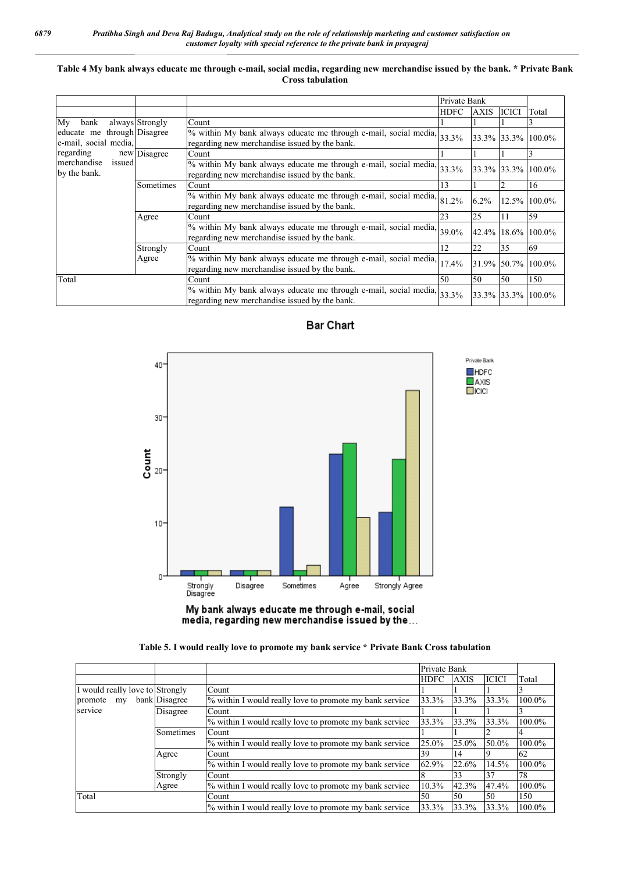| Table 4 My bank always educate me through e-mail, social media, regarding new merchandise issued by the bank. * Private Bank |
|------------------------------------------------------------------------------------------------------------------------------|
| <b>Cross tabulation</b>                                                                                                      |

|                                     |                  |                                                                                                                   | Private Bank             |             |              |                    |
|-------------------------------------|------------------|-------------------------------------------------------------------------------------------------------------------|--------------------------|-------------|--------------|--------------------|
|                                     |                  |                                                                                                                   | <b>HDFC</b>              | <b>AXIS</b> | <b>ICICI</b> | Total              |
| My<br>bank                          | always Strongly  | Count                                                                                                             |                          |             |              |                    |
| educate me<br>e-mail, social media, | through Disagree | % within My bank always educate me through e-mail, social media,<br>regarding new merchandise issued by the bank. | 33.3% 33.3% 33.3% 100.0% |             |              |                    |
| regarding                           | new Disagree     | Count                                                                                                             |                          |             |              |                    |
| merchandise issued<br>by the bank.  |                  | % within My bank always educate me through e-mail, social media,<br>regarding new merchandise issued by the bank. | 33.3%                    |             |              | 33.3% 33.3% 100.0% |
|                                     | Sometimes        | Count                                                                                                             | 13                       |             |              | 16                 |
|                                     |                  | % within My bank always educate me through e-mail, social media,<br>regarding new merchandise issued by the bank. | 81.2%                    | $6.2\%$     |              | 12.5% 100.0%       |
|                                     | Agree            | Count                                                                                                             | 23                       | 25          | 11           | 59                 |
|                                     |                  | % within My bank always educate me through e-mail, social media,<br>regarding new merchandise issued by the bank. | 39.0%                    |             |              | 42.4% 18.6% 100.0% |
|                                     | Strongly         | Count                                                                                                             | 12                       | 22          | 35           | 69                 |
|                                     | Agree            | % within My bank always educate me through e-mail, social media,<br>regarding new merchandise issued by the bank. | 17.4%                    |             |              | 31.9% 50.7% 100.0% |
| Total                               |                  | Count                                                                                                             | 50                       | 50          | 50           | 150                |
|                                     |                  | % within My bank always educate me through e-mail, social media,<br>regarding new merchandise issued by the bank. | 33.3%                    |             |              | 33.3% 33.3% 100.0% |



# **Bar Chart**

Private Bank

 $\blacksquare$ HDFC  $R$ 

My bank always educate me through e-mail, social<br>media, regarding new merchandise issued by the...

| Table 5. I would really love to promote my bank service * Private Bank Cross tabulation |  |  |  |  |
|-----------------------------------------------------------------------------------------|--|--|--|--|
|-----------------------------------------------------------------------------------------|--|--|--|--|

|                                 |               |                                                         | Private Bank |             |              |        |
|---------------------------------|---------------|---------------------------------------------------------|--------------|-------------|--------------|--------|
|                                 |               |                                                         | <b>HDFC</b>  | <b>AXIS</b> | <b>ICICI</b> | Total  |
| I would really love to Strongly |               | Count                                                   |              |             |              |        |
| promote<br>my                   | bank Disagree | % within I would really love to promote my bank service | 33.3%        | 33.3%       | 33.3%        | 100.0% |
| service                         | Disagree      | Count                                                   |              |             |              |        |
|                                 |               | % within I would really love to promote my bank service | 33.3%        | 33.3%       | 33.3%        | 100.0% |
|                                 | Sometimes     | Count                                                   |              |             |              |        |
|                                 |               | % within I would really love to promote my bank service | 25.0%        | 25.0%       | 50.0%        | 100.0% |
|                                 | Agree         | Count                                                   | 39           | 14          |              | 62     |
|                                 |               | % within I would really love to promote my bank service | 62.9%        | 22.6%       | 14.5%        | 100.0% |
|                                 | Strongly      | Count                                                   |              | 33          | 37           | 78     |
|                                 | Agree         | % within I would really love to promote my bank service | 10.3%        | 42.3%       | 47.4%        | 100.0% |
| Total                           |               | Count                                                   | 50           | 50          | 50           | 150    |
|                                 |               | % within I would really love to promote my bank service | 33.3%        | 33.3%       | 33.3%        | 100.0% |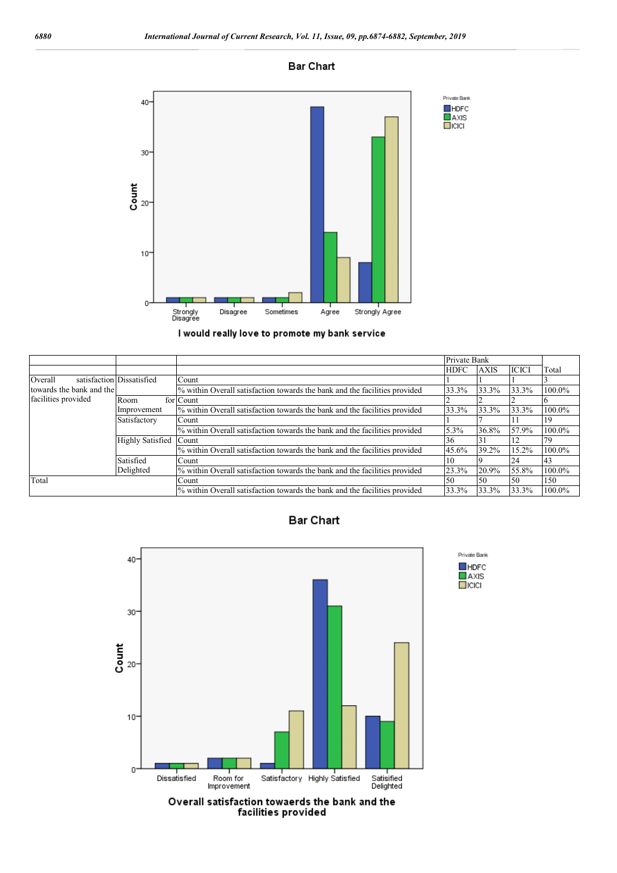



I would really love to promote my bank service

|                          |                           | Private Bank                                                               |             |             |              |        |
|--------------------------|---------------------------|----------------------------------------------------------------------------|-------------|-------------|--------------|--------|
|                          |                           |                                                                            | <b>HDFC</b> | <b>AXIS</b> | <b>ICICI</b> | Total  |
| Overall                  | satisfaction Dissatisfied | Count                                                                      |             |             |              |        |
| towards the bank and the |                           | % within Overall satisfaction towards the bank and the facilities provided | 33.3%       | 33.3%       | 33.3%        | 100.0% |
| facilities provided      | Room                      | for Count                                                                  |             |             |              |        |
|                          | Improvement               | % within Overall satisfaction towards the bank and the facilities provided | 33.3%       | 33.3%       | 33.3%        | 100.0% |
|                          | Satisfactory              | Count                                                                      |             |             |              | 19     |
|                          |                           | % within Overall satisfaction towards the bank and the facilities provided | 5.3%        | 36.8%       | 57.9%        | 100.0% |
|                          | <b>Highly Satisfied</b>   | Count                                                                      | 36          | 31          | 12           | 79     |
|                          |                           | % within Overall satisfaction towards the bank and the facilities provided | 45.6%       | 39.2%       | 15.2%        | 100.0% |
|                          | Satisfied                 | Count                                                                      | 10          |             | 24           | 43     |
|                          | Delighted                 | % within Overall satisfaction towards the bank and the facilities provided | 23.3%       | 20.9%       | 55.8%        | 100.0% |
| Total                    |                           | Count                                                                      | 50          | 50          | 50           | 150    |
|                          |                           | % within Overall satisfaction towards the bank and the facilities provided | 33.3%       | 33.3%       | 33.3%        | 100.0% |



Private Bank

 $\blacksquare$ HDFC  $T$  AXIS



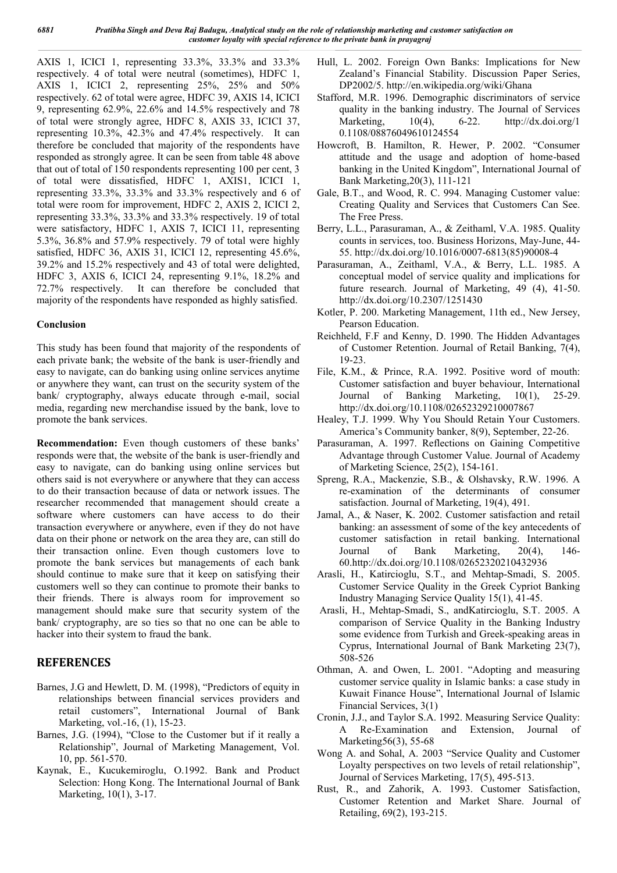AXIS 1, ICICI 1, representing 33.3%, 33.3% and 33.3% respectively. 4 of total were neutral (sometimes), HDFC 1, AXIS 1, ICICI 2, representing 25%, 25% and 50% respectively. 62 of total were agree, HDFC 39, AXIS 14, ICICI 9, representing 62.9%, 22.6% and 14.5% respectively and 78 of total were strongly agree, HDFC 8, AXIS 33, ICICI 37, representing 10.3%, 42.3% and 47.4% respectively. It can therefore be concluded that majority of the respondents have responded as strongly agree. It can be seen from table 48 above that out of total of 150 respondents representing 100 per cent, 3 of total were dissatisfied, HDFC 1, AXIS1, ICICI 1, representing 33.3%, 33.3% and 33.3% respectively and 6 of total were room for improvement, HDFC 2, AXIS 2, ICICI 2, representing 33.3%, 33.3% and 33.3% respectively. 19 of total were satisfactory, HDFC 1, AXIS 7, ICICI 11, representing 5.3%, 36.8% and 57.9% respectively. 79 of total were highly satisfied, HDFC 36, AXIS 31, ICICI 12, representing 45.6%, 39.2% and 15.2% respectively and 43 of total were delighted, HDFC 3, AXIS 6, ICICI 24, representing 9.1%, 18.2% and 72.7% respectively. It can therefore be concluded that majority of the respondents have responded as highly satisfied.

#### **Conclusion**

This study has been found that majority of the respondents of each private bank; the website of the bank is user-friendly and easy to navigate, can do banking using online services anytime or anywhere they want, can trust on the security system of the bank/ cryptography, always educate through e-mail, social media, regarding new merchandise issued by the bank, love to promote the bank services.

**Recommendation:** Even though customers of these banks' responds were that, the website of the bank is user-friendly and easy to navigate, can do banking using online services but others said is not everywhere or anywhere that they can access to do their transaction because of data or network issues. The researcher recommended that management should create a software where customers can have access to do their transaction everywhere or anywhere, even if they do not have data on their phone or network on the area they are, can still do their transaction online. Even though customers love to promote the bank services but managements of each bank should continue to make sure that it keep on satisfying their customers well so they can continue to promote their banks to their friends. There is always room for improvement so management should make sure that security system of the bank/ cryptography, are so ties so that no one can be able to hacker into their system to fraud the bank.

## **REFERENCES**

- Barnes, J.G and Hewlett, D. M. (1998), "Predictors of equity in relationships between financial services providers and retail customers", International Journal of Bank Marketing, vol.-16, (1), 15-23.
- Barnes, J.G. (1994), "Close to the Customer but if it really a Relationship", Journal of Marketing Management, Vol. 10, pp. 561-570.
- Kaynak, E., Kucukemiroglu, O.1992. Bank and Product Selection: Hong Kong. The International Journal of Bank Marketing, 10(1), 3-17.
- Hull, L. 2002. Foreign Own Banks: Implications for New Zealand's Financial Stability. Discussion Paper Series, DP2002/5. http://en.wikipedia.org/wiki/Ghana
- Stafford, M.R. 1996. Demographic discriminators of service quality in the banking industry. The Journal of Services Marketing,  $10(4)$ ,  $6-22$ . http://dx.doi.org/1 0.1108/08876049610124554
- Howcroft, B. Hamilton, R. Hewer, P. 2002. "Consumer attitude and the usage and adoption of home-based banking in the United Kingdom", International Journal of Bank Marketing,20(3), 111-121
- Gale, B.T., and Wood, R. C. 994. Managing Customer value: Creating Quality and Services that Customers Can See. The Free Press.
- Berry, L.L., Parasuraman, A., & Zeithaml, V.A. 1985. Quality counts in services, too. Business Horizons, May-June, 44- 55. http://dx.doi.org/10.1016/0007-6813(85)90008-4
- Parasuraman, A., Zeithaml, V.A., & Berry, L.L. 1985. A conceptual model of service quality and implications for future research. Journal of Marketing, 49 (4), 41-50. http://dx.doi.org/10.2307/1251430
- Kotler, P. 200. Marketing Management, 11th ed., New Jersey, Pearson Education.
- Reichheld, F.F and Kenny, D. 1990. The Hidden Advantages of Customer Retention. Journal of Retail Banking, 7(4), 19-23.
- File, K.M., & Prince, R.A. 1992. Positive word of mouth: Customer satisfaction and buyer behaviour, International Journal of Banking Marketing, 10(1), 25-29. http://dx.doi.org/10.1108/02652329210007867
- Healey, T.J. 1999. Why You Should Retain Your Customers. America's Community banker, 8(9), September, 22-26.
- Parasuraman, A. 1997. Reflections on Gaining Competitive Advantage through Customer Value. Journal of Academy of Marketing Science, 25(2), 154-161.
- Spreng, R.A., Mackenzie, S.B., & Olshavsky, R.W. 1996. A re-examination of the determinants of consumer satisfaction. Journal of Marketing, 19(4), 491.
- Jamal, A., & Naser, K. 2002. Customer satisfaction and retail banking: an assessment of some of the key antecedents of customer satisfaction in retail banking. International Journal of Bank Marketing, 20(4), 146- 60.http://dx.doi.org/10.1108/02652320210432936
- Arasli, H., Katircioglu, S.T., and Mehtap-Smadi, S. 2005. Customer Service Quality in the Greek Cypriot Banking Industry Managing Service Quality 15(1), 41-45.
- Arasli, H., Mehtap-Smadi, S., andKatircioglu, S.T. 2005. A comparison of Service Quality in the Banking Industry some evidence from Turkish and Greek-speaking areas in Cyprus, International Journal of Bank Marketing 23(7), 508-526
- Othman, A. and Owen, L. 2001. "Adopting and measuring customer service quality in Islamic banks: a case study in Kuwait Finance House", International Journal of Islamic Financial Services, 3(1)
- Cronin, J.J., and Taylor S.A. 1992. Measuring Service Quality: A Re-Examination and Extension, Journal of Marketing56(3), 55-68
- Wong A. and Sohal, A. 2003 "Service Quality and Customer Loyalty perspectives on two levels of retail relationship", Journal of Services Marketing, 17(5), 495-513.
- Rust, R., and Zahorik, A. 1993. Customer Satisfaction, Customer Retention and Market Share. Journal of Retailing, 69(2), 193-215.